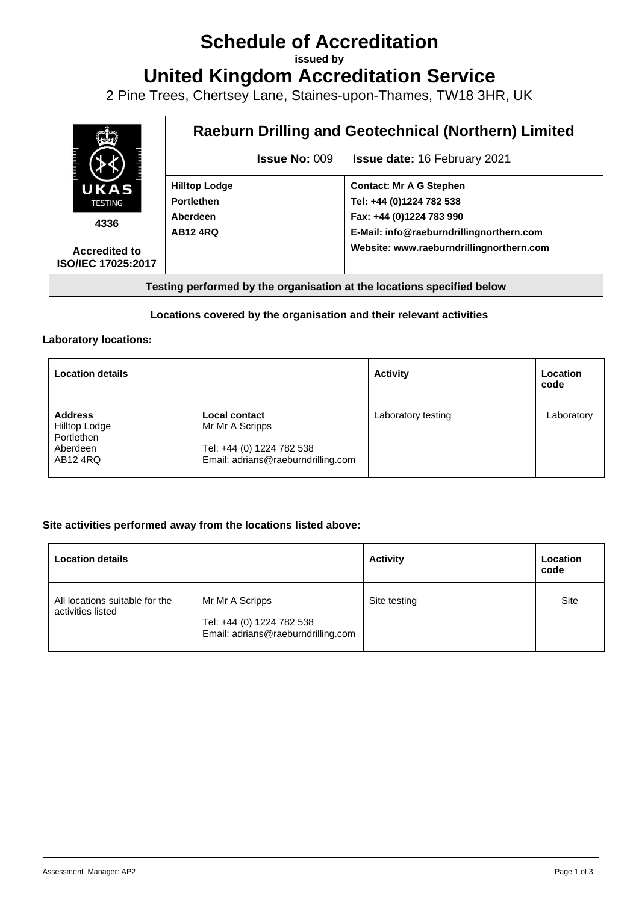# **Schedule of Accreditation**

**issued by**

**United Kingdom Accreditation Service**

2 Pine Trees, Chertsey Lane, Staines-upon-Thames, TW18 3HR, UK



#### **Locations covered by the organisation and their relevant activities**

#### **Laboratory locations:**

| <b>Location details</b>                       |                                                                 | <b>Activity</b>    | Location<br>code |
|-----------------------------------------------|-----------------------------------------------------------------|--------------------|------------------|
| <b>Address</b><br>Hilltop Lodge<br>Portlethen | <b>Local contact</b><br>Mr Mr A Scripps                         | Laboratory testing | Laboratory       |
| Aberdeen<br>AB12 4RQ                          | Tel: +44 (0) 1224 782 538<br>Email: adrians@raeburndrilling.com |                    |                  |

#### **Site activities performed away from the locations listed above:**

| <b>Location details</b>                             |                                                                 | <b>Activity</b> | Location<br>code |
|-----------------------------------------------------|-----------------------------------------------------------------|-----------------|------------------|
| All locations suitable for the<br>activities listed | Mr Mr A Scripps                                                 | Site testing    | Site             |
|                                                     | Tel: +44 (0) 1224 782 538<br>Email: adrians@raeburndrilling.com |                 |                  |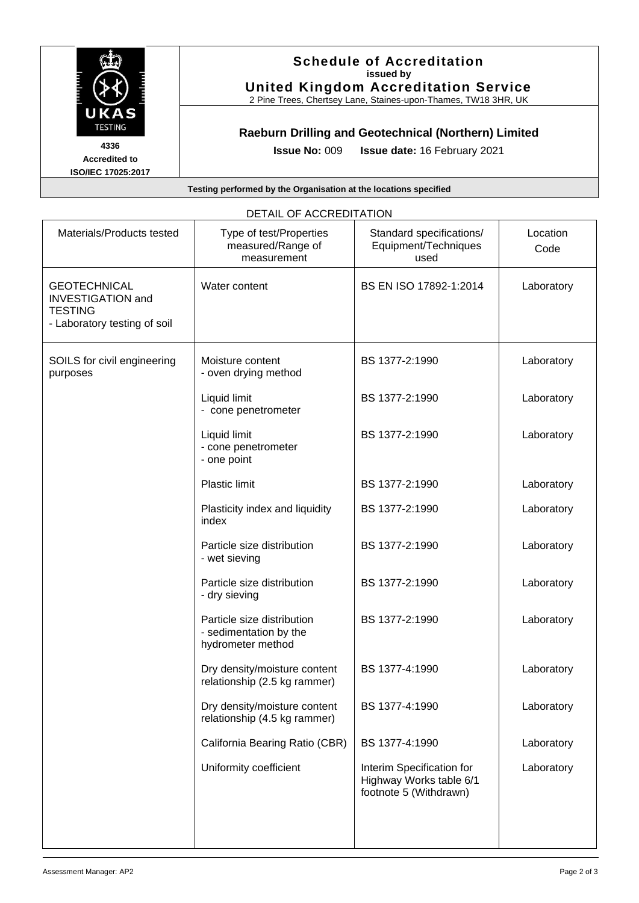

#### **Schedule of Accreditation issued by United Kingdom Accreditation Service**

2 Pine Trees, Chertsey Lane, Staines-upon-Thames, TW18 3HR, UK

## **Raeburn Drilling and Geotechnical (Northern) Limited**

**Accredited to ISO/IEC 17025:2017** **Issue No:** 009 **Issue date:** 16 February 2021

**Testing performed by the Organisation at the locations specified**

|                                                                                                   | DETAIL OF AUUREDITATION                                                   |                                                                                |                  |
|---------------------------------------------------------------------------------------------------|---------------------------------------------------------------------------|--------------------------------------------------------------------------------|------------------|
| Materials/Products tested                                                                         | Type of test/Properties<br>measured/Range of<br>measurement               | Standard specifications/<br>Equipment/Techniques<br>used                       | Location<br>Code |
| <b>GEOTECHNICAL</b><br><b>INVESTIGATION and</b><br><b>TESTING</b><br>- Laboratory testing of soil | Water content                                                             | BS EN ISO 17892-1:2014                                                         | Laboratory       |
| SOILS for civil engineering<br>purposes                                                           | Moisture content<br>- oven drying method                                  | BS 1377-2:1990                                                                 | Laboratory       |
|                                                                                                   | Liquid limit<br>- cone penetrometer                                       | BS 1377-2:1990                                                                 | Laboratory       |
|                                                                                                   | Liquid limit<br>- cone penetrometer<br>- one point                        | BS 1377-2:1990                                                                 | Laboratory       |
|                                                                                                   | <b>Plastic limit</b>                                                      | BS 1377-2:1990                                                                 | Laboratory       |
|                                                                                                   | Plasticity index and liquidity<br>index                                   | BS 1377-2:1990                                                                 | Laboratory       |
|                                                                                                   | Particle size distribution<br>- wet sieving                               | BS 1377-2:1990                                                                 | Laboratory       |
|                                                                                                   | Particle size distribution<br>- dry sieving                               | BS 1377-2:1990                                                                 | Laboratory       |
|                                                                                                   | Particle size distribution<br>- sedimentation by the<br>hydrometer method | BS 1377-2:1990                                                                 | Laboratory       |
|                                                                                                   | Dry density/moisture content<br>relationship (2.5 kg rammer)              | BS 1377-4:1990                                                                 | Laboratory       |
|                                                                                                   | Dry density/moisture content<br>relationship (4.5 kg rammer)              | BS 1377-4:1990                                                                 | Laboratory       |
|                                                                                                   | California Bearing Ratio (CBR)                                            | BS 1377-4:1990                                                                 | Laboratory       |
|                                                                                                   | Uniformity coefficient                                                    | Interim Specification for<br>Highway Works table 6/1<br>footnote 5 (Withdrawn) | Laboratory       |
|                                                                                                   |                                                                           |                                                                                |                  |

## DETAIL OF ACCREDITATION